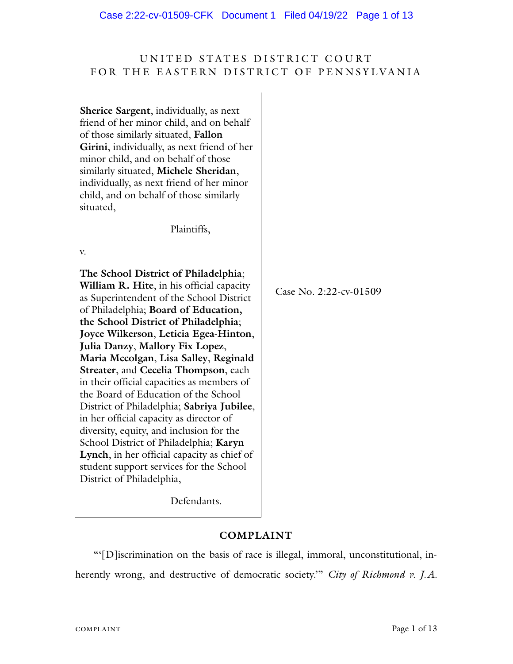# UNITED STATES DISTRICT COURT FOR THE EASTERN DISTRICT OF PENNSYLVANIA

| <b>Sherice Sargent</b> , individually, as next<br>friend of her minor child, and on behalf<br>of those similarly situated, Fallon<br>Girini, individually, as next friend of her<br>minor child, and on behalf of those<br>similarly situated, Michele Sheridan,<br>individually, as next friend of her minor<br>child, and on behalf of those similarly<br>situated,                                                                                                                                                                                                                                                                                                                                                                                                  |                        |
|------------------------------------------------------------------------------------------------------------------------------------------------------------------------------------------------------------------------------------------------------------------------------------------------------------------------------------------------------------------------------------------------------------------------------------------------------------------------------------------------------------------------------------------------------------------------------------------------------------------------------------------------------------------------------------------------------------------------------------------------------------------------|------------------------|
| Plaintiffs,                                                                                                                                                                                                                                                                                                                                                                                                                                                                                                                                                                                                                                                                                                                                                            |                        |
| V.                                                                                                                                                                                                                                                                                                                                                                                                                                                                                                                                                                                                                                                                                                                                                                     |                        |
| The School District of Philadelphia;<br>William R. Hite, in his official capacity<br>as Superintendent of the School District<br>of Philadelphia; Board of Education,<br>the School District of Philadelphia;<br>Joyce Wilkerson, Leticia Egea-Hinton,<br>Julia Danzy, Mallory Fix Lopez,<br>Maria Mccolgan, Lisa Salley, Reginald<br>Streater, and Cecelia Thompson, each<br>in their official capacities as members of<br>the Board of Education of the School<br>District of Philadelphia; Sabriya Jubilee,<br>in her official capacity as director of<br>diversity, equity, and inclusion for the<br>School District of Philadelphia; Karyn<br>Lynch, in her official capacity as chief of<br>student support services for the School<br>District of Philadelphia, | Case No. 2:22-cv-01509 |

Defendants.

# **COMPLAINT**

"'[D]iscrimination on the basis of race is illegal, immoral, unconstitutional, inherently wrong, and destructive of democratic society.'" *City of Richmond v. J.A.*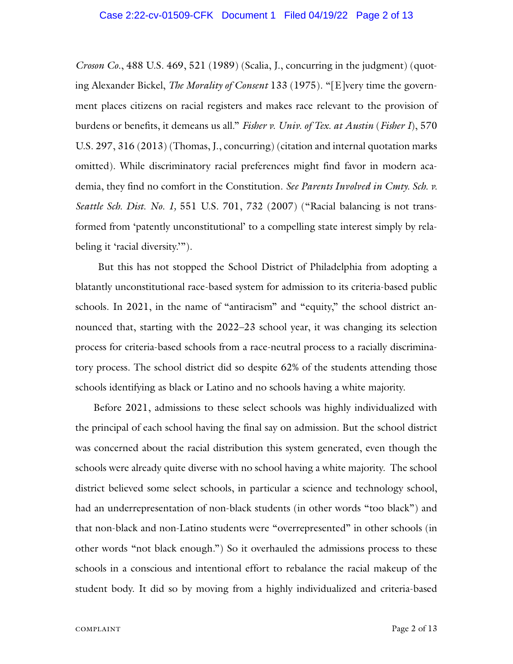*Croson Co.*, 488 U.S. 469, 521 (1989) (Scalia, J., concurring in the judgment) (quoting Alexander Bickel, *The Morality of Consent* 133 (1975). "[E]very time the government places citizens on racial registers and makes race relevant to the provision of burdens or benefits, it demeans us all." *Fisher v. Univ. of Tex. at Austin* (*Fisher I*), 570 U.S. 297, 316 (2013) (Thomas, J., concurring) (citation and internal quotation marks omitted). While discriminatory racial preferences might find favor in modern academia, they find no comfort in the Constitution. *See Parents Involved in Cmty. Sch. v. Seattle Sch. Dist. No. 1,* 551 U.S. 701, 732 (2007) ("Racial balancing is not transformed from 'patently unconstitutional' to a compelling state interest simply by relabeling it 'racial diversity.'").

But this has not stopped the School District of Philadelphia from adopting a blatantly unconstitutional race-based system for admission to its criteria-based public schools. In 2021, in the name of "antiracism" and "equity," the school district announced that, starting with the 2022–23 school year, it was changing its selection process for criteria-based schools from a race-neutral process to a racially discriminatory process. The school district did so despite 62% of the students attending those schools identifying as black or Latino and no schools having a white majority.

Before 2021, admissions to these select schools was highly individualized with the principal of each school having the final say on admission. But the school district was concerned about the racial distribution this system generated, even though the schools were already quite diverse with no school having a white majority. The school district believed some select schools, in particular a science and technology school, had an underrepresentation of non-black students (in other words "too black") and that non-black and non-Latino students were "overrepresented" in other schools (in other words "not black enough.") So it overhauled the admissions process to these schools in a conscious and intentional effort to rebalance the racial makeup of the student body. It did so by moving from a highly individualized and criteria-based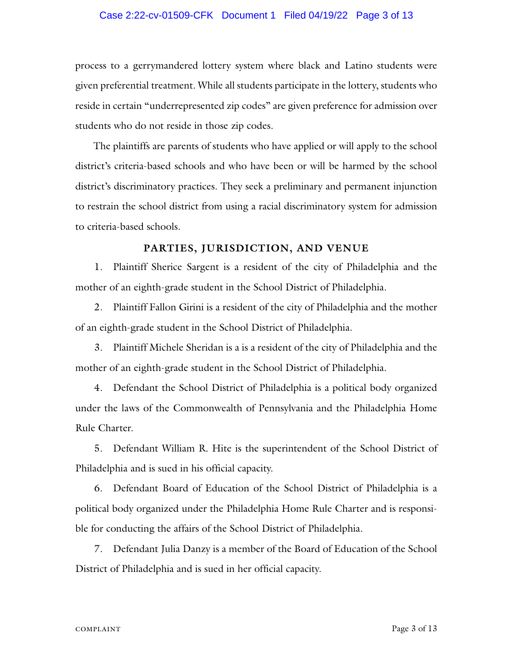#### Case 2:22-cv-01509-CFK Document 1 Filed 04/19/22 Page 3 of 13

process to a gerrymandered lottery system where black and Latino students were given preferential treatment. While all students participate in the lottery, students who reside in certain "underrepresented zip codes" are given preference for admission over students who do not reside in those zip codes.

The plaintiffs are parents of students who have applied or will apply to the school district's criteria-based schools and who have been or will be harmed by the school district's discriminatory practices. They seek a preliminary and permanent injunction to restrain the school district from using a racial discriminatory system for admission to criteria-based schools.

#### **PARTIES, JURISDICTION, AND VENUE**

1. Plaintiff Sherice Sargent is a resident of the city of Philadelphia and the mother of an eighth-grade student in the School District of Philadelphia.

2. Plaintiff Fallon Girini is a resident of the city of Philadelphia and the mother of an eighth-grade student in the School District of Philadelphia.

3. Plaintiff Michele Sheridan is a is a resident of the city of Philadelphia and the mother of an eighth-grade student in the School District of Philadelphia.

4. Defendant the School District of Philadelphia is a political body organized under the laws of the Commonwealth of Pennsylvania and the Philadelphia Home Rule Charter.

5. Defendant William R. Hite is the superintendent of the School District of Philadelphia and is sued in his official capacity.

6. Defendant Board of Education of the School District of Philadelphia is a political body organized under the Philadelphia Home Rule Charter and is responsible for conducting the affairs of the School District of Philadelphia.

7. Defendant Julia Danzy is a member of the Board of Education of the School District of Philadelphia and is sued in her official capacity.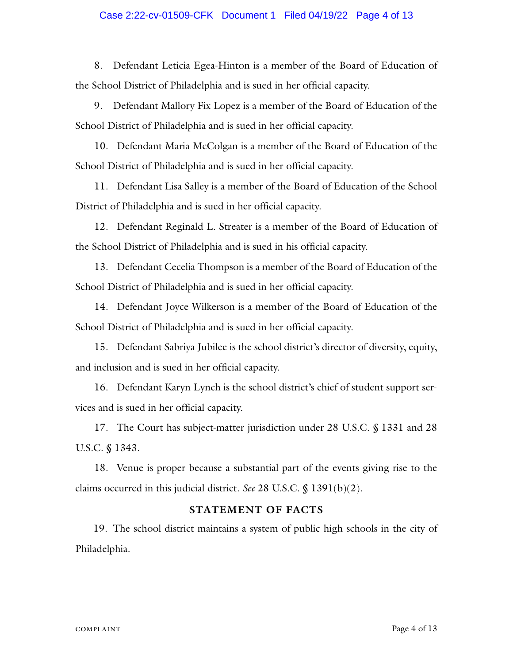#### Case 2:22-cv-01509-CFK Document 1 Filed 04/19/22 Page 4 of 13

8. Defendant Leticia Egea-Hinton is a member of the Board of Education of the School District of Philadelphia and is sued in her official capacity.

9. Defendant Mallory Fix Lopez is a member of the Board of Education of the School District of Philadelphia and is sued in her official capacity.

10. Defendant Maria McColgan is a member of the Board of Education of the School District of Philadelphia and is sued in her official capacity.

11. Defendant Lisa Salley is a member of the Board of Education of the School District of Philadelphia and is sued in her official capacity.

12. Defendant Reginald L. Streater is a member of the Board of Education of the School District of Philadelphia and is sued in his official capacity.

13. Defendant Cecelia Thompson is a member of the Board of Education of the School District of Philadelphia and is sued in her official capacity.

14. Defendant Joyce Wilkerson is a member of the Board of Education of the School District of Philadelphia and is sued in her official capacity.

15. Defendant Sabriya Jubilee is the school district's director of diversity, equity, and inclusion and is sued in her official capacity.

16. Defendant Karyn Lynch is the school district's chief of student support services and is sued in her official capacity.

17. The Court has subject-matter jurisdiction under 28 U.S.C. § 1331 and 28 U.S.C. § 1343.

18. Venue is proper because a substantial part of the events giving rise to the claims occurred in this judicial district. *See* 28 U.S.C. § 1391(b)(2).

#### **STATEMENT OF FACTS**

19. The school district maintains a system of public high schools in the city of Philadelphia.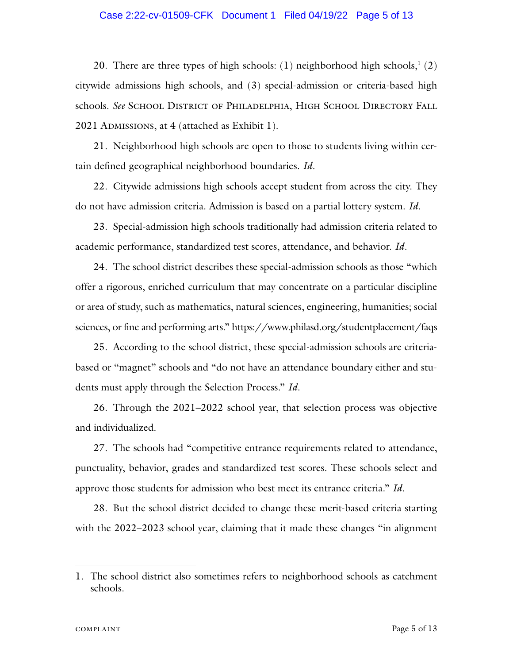#### Case 2:22-cv-01509-CFK Document 1 Filed 04/19/22 Page 5 of 13

20. There are three types of high schools:  $(1)$  neighborhood high schools,<sup>1</sup>  $(2)$ citywide admissions high schools, and (3) special-admission or criteria-based high schools. See SCHOOL DISTRICT OF PHILADELPHIA, HIGH SCHOOL DIRECTORY FALL 2021 ADMISSIONS, at 4 (attached as Exhibit 1).

21. Neighborhood high schools are open to those to students living within certain defined geographical neighborhood boundaries. *Id*.

22. Citywide admissions high schools accept student from across the city. They do not have admission criteria. Admission is based on a partial lottery system. *Id*.

23. Special-admission high schools traditionally had admission criteria related to academic performance, standardized test scores, attendance, and behavior. *Id*.

24. The school district describes these special-admission schools as those "which offer a rigorous, enriched curriculum that may concentrate on a particular discipline or area of study, such as mathematics, natural sciences, engineering, humanities; social sciences, or fine and performing arts." https://www.philasd.org/studentplacement/faqs

25. According to the school district, these special-admission schools are criteriabased or "magnet" schools and "do not have an attendance boundary either and students must apply through the Selection Process." *Id*.

26. Through the 2021–2022 school year, that selection process was objective and individualized.

27. The schools had "competitive entrance requirements related to attendance, punctuality, behavior, grades and standardized test scores. These schools select and approve those students for admission who best meet its entrance criteria." *Id.*

28. But the school district decided to change these merit-based criteria starting with the 2022–2023 school year, claiming that it made these changes "in alignment"

<sup>1.</sup> The school district also sometimes refers to neighborhood schools as catchment schools.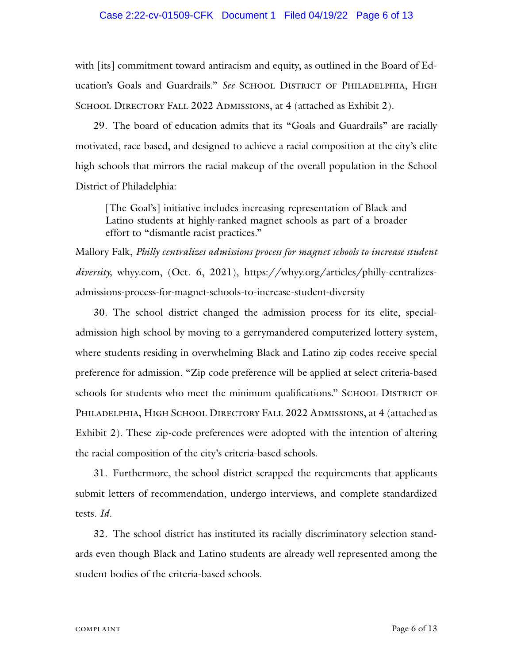#### Case 2:22-cv-01509-CFK Document 1 Filed 04/19/22 Page 6 of 13

with [its] commitment toward antiracism and equity, as outlined in the Board of Education's Goals and Guardrails." See SCHOOL DISTRICT OF PHILADELPHIA, HIGH SCHOOL DIRECTORY FALL 2022 ADMISSIONS, at 4 (attached as Exhibit 2).

29. The board of education admits that its "Goals and Guardrails" are racially motivated, race based, and designed to achieve a racial composition at the city's elite high schools that mirrors the racial makeup of the overall population in the School District of Philadelphia:

[The Goal's] initiative includes increasing representation of Black and Latino students at highly-ranked magnet schools as part of a broader effort to "dismantle racist practices."

Mallory Falk, *Philly centralizes admissions process for magnet schools to increase student diversity,* whyy.com, (Oct. 6, 2021), https://whyy.org/articles/philly-centralizesadmissions-process-for-magnet-schools-to-increase-student-diversity

30. The school district changed the admission process for its elite, specialadmission high school by moving to a gerrymandered computerized lottery system, where students residing in overwhelming Black and Latino zip codes receive special preference for admission. "Zip code preference will be applied at select criteria-based schools for students who meet the minimum qualifications." SCHOOL DISTRICT OF PHILADELPHIA, HIGH SCHOOL DIRECTORY FALL 2022 ADMISSIONS, at 4 (attached as Exhibit 2). These zip-code preferences were adopted with the intention of altering the racial composition of the city's criteria-based schools.

31. Furthermore, the school district scrapped the requirements that applicants submit letters of recommendation, undergo interviews, and complete standardized tests. *Id*.

32. The school district has instituted its racially discriminatory selection standards even though Black and Latino students are already well represented among the student bodies of the criteria-based schools.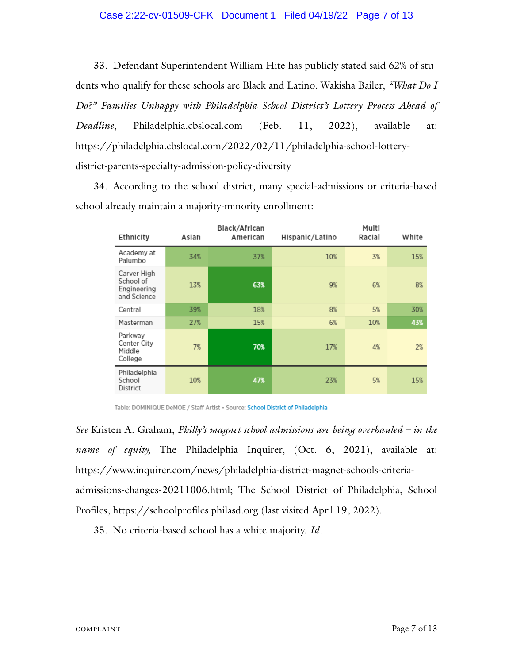#### Case 2:22-cv-01509-CFK Document 1 Filed 04/19/22 Page 7 of 13

33. Defendant Superintendent William Hite has publicly stated said 62% of students who qualify for these schools are Black and Latino. Wakisha Bailer, *"What Do I Do?" Families Unhappy with Philadelphia School District's Lottery Process Ahead of Deadline*, Philadelphia.cbslocal.com (Feb. 11, 2022), available at: https://philadelphia.cbslocal.com/2022/02/11/philadelphia-school-lotterydistrict-parents-specialty-admission-policy-diversity

34. According to the school district, many special-admissions or criteria-based school already maintain a majority-minority enrollment:

| Ethnicity                                              | Aslan | Black/African<br>American | Hispanic/Latino | Multi<br>Racial | White |
|--------------------------------------------------------|-------|---------------------------|-----------------|-----------------|-------|
| Academy at<br>Palumbo                                  | 34%   | 37%                       | 10%             | 3%              | 15%   |
| Carver High<br>School of<br>Engineering<br>and Science | 13%   | 63%                       | 9%              | 6%              | 8%    |
| Central                                                | 39%   | 18%                       | 8%              | 5%              | 30%   |
| Masterman                                              | 27%   | 15%                       | 6%              | 10%             | 43%   |
| Parkway<br>Center City<br>Middle<br>College            | 7%    | 70%                       | 17%             | 4%              | 2%    |
| Philadelphia<br>School<br>District                     | 10%   | 47%                       | 23%             | 5%              | 15%   |

Table: DOMINIQUE DeMOE / Staff Artist . Source: School District of Philadelphia

*See* Kristen A. Graham, *Philly's magnet school admissions are being overhauled – in the name of equity,* The Philadelphia Inquirer, (Oct. 6, 2021), available at: https://www.inquirer.com/news/philadelphia-district-magnet-schools-criteriaadmissions-changes-20211006.html; The School District of Philadelphia, School Profiles, https://schoolprofiles.philasd.org (last visited April 19, 2022).

35. No criteria-based school has a white majority. *Id*.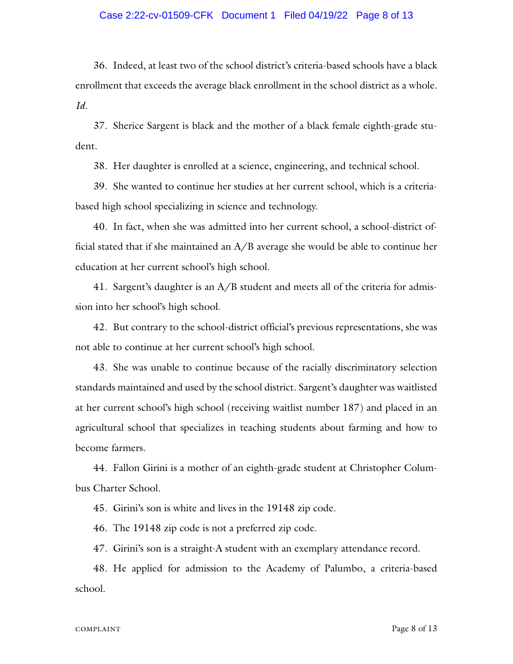#### Case 2:22-cv-01509-CFK Document 1 Filed 04/19/22 Page 8 of 13

36. Indeed, at least two of the school district's criteria-based schools have a black enrollment that exceeds the average black enrollment in the school district as a whole. *Id*.

37. Sherice Sargent is black and the mother of a black female eighth-grade student.

38. Her daughter is enrolled at a science, engineering, and technical school.

39. She wanted to continue her studies at her current school, which is a criteriabased high school specializing in science and technology.

40. In fact, when she was admitted into her current school, a school-district official stated that if she maintained an A/B average she would be able to continue her education at her current school's high school.

41. Sargent's daughter is an A/B student and meets all of the criteria for admission into her school's high school.

42. But contrary to the school-district official's previous representations, she was not able to continue at her current school's high school.

43. She was unable to continue because of the racially discriminatory selection standards maintained and used by the school district. Sargent's daughter was waitlisted at her current school's high school (receiving waitlist number 187) and placed in an agricultural school that specializes in teaching students about farming and how to become farmers.

44. Fallon Girini is a mother of an eighth-grade student at Christopher Columbus Charter School.

45. Girini's son is white and lives in the 19148 zip code.

46. The 19148 zip code is not a preferred zip code.

47. Girini's son is a straight-A student with an exemplary attendance record.

48. He applied for admission to the Academy of Palumbo, a criteria-based school.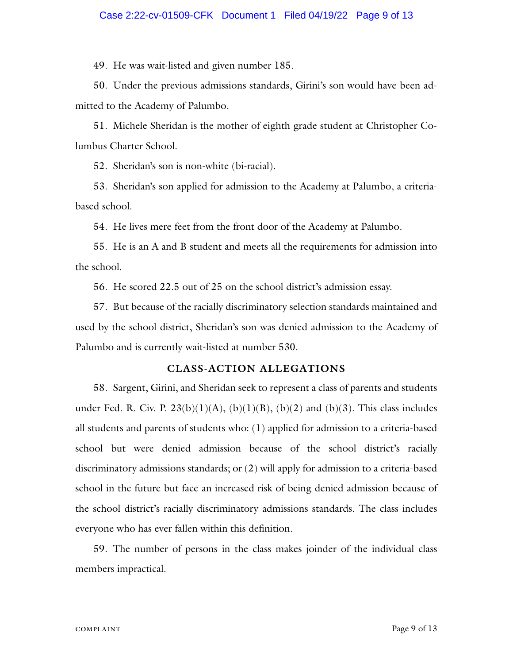#### Case 2:22-cv-01509-CFK Document 1 Filed 04/19/22 Page 9 of 13

49. He was wait-listed and given number 185.

50. Under the previous admissions standards, Girini's son would have been admitted to the Academy of Palumbo.

51. Michele Sheridan is the mother of eighth grade student at Christopher Columbus Charter School.

52. Sheridan's son is non-white (bi-racial).

53. Sheridan's son applied for admission to the Academy at Palumbo, a criteriabased school.

54. He lives mere feet from the front door of the Academy at Palumbo.

55. He is an A and B student and meets all the requirements for admission into the school.

56. He scored 22.5 out of 25 on the school district's admission essay.

57. But because of the racially discriminatory selection standards maintained and used by the school district, Sheridan's son was denied admission to the Academy of Palumbo and is currently wait-listed at number 530.

### **CLASS-ACTION ALLEGATIONS**

58. Sargent, Girini, and Sheridan seek to represent a class of parents and students under Fed. R. Civ. P.  $23(b)(1)(A)$ ,  $(b)(1)(B)$ ,  $(b)(2)$  and  $(b)(3)$ . This class includes all students and parents of students who: (1) applied for admission to a criteria-based school but were denied admission because of the school district's racially discriminatory admissions standards; or (2) will apply for admission to a criteria-based school in the future but face an increased risk of being denied admission because of the school district's racially discriminatory admissions standards. The class includes everyone who has ever fallen within this definition.

59. The number of persons in the class makes joinder of the individual class members impractical.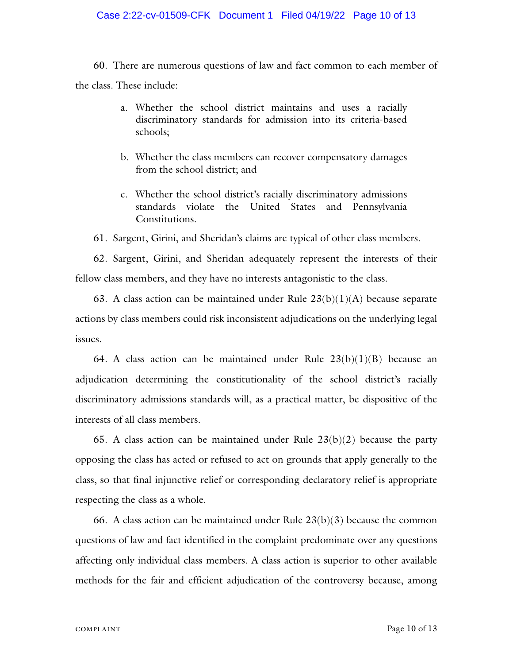#### Case 2:22-cv-01509-CFK Document 1 Filed 04/19/22 Page 10 of 13

60. There are numerous questions of law and fact common to each member of the class. These include:

- a. Whether the school district maintains and uses a racially discriminatory standards for admission into its criteria-based schools;
- b. Whether the class members can recover compensatory damages from the school district; and
- c. Whether the school district's racially discriminatory admissions standards violate the United States and Pennsylvania Constitutions.

61. Sargent, Girini, and Sheridan's claims are typical of other class members.

62. Sargent, Girini, and Sheridan adequately represent the interests of their fellow class members, and they have no interests antagonistic to the class.

63. A class action can be maintained under Rule  $23(b)(1)(A)$  because separate actions by class members could risk inconsistent adjudications on the underlying legal issues.

64. A class action can be maintained under Rule  $23(b)(1)(B)$  because an adjudication determining the constitutionality of the school district's racially discriminatory admissions standards will, as a practical matter, be dispositive of the interests of all class members.

65. A class action can be maintained under Rule  $23(b)(2)$  because the party opposing the class has acted or refused to act on grounds that apply generally to the class, so that final injunctive relief or corresponding declaratory relief is appropriate respecting the class as a whole.

66. A class action can be maintained under Rule  $23(b)(3)$  because the common questions of law and fact identified in the complaint predominate over any questions affecting only individual class members. A class action is superior to other available methods for the fair and efficient adjudication of the controversy because, among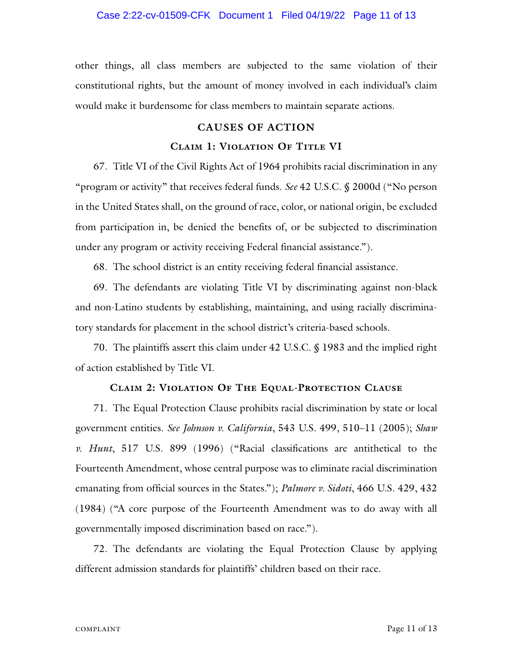#### Case 2:22-cv-01509-CFK Document 1 Filed 04/19/22 Page 11 of 13

other things, all class members are subjected to the same violation of their constitutional rights, but the amount of money involved in each individual's claim would make it burdensome for class members to maintain separate actions.

#### **CAUSES OF ACTION**

#### **Claim 1: Violation Of Title VI**

67. Title VI of the Civil Rights Act of 1964 prohibits racial discrimination in any "program or activity" that receives federal funds. *See* 42 U.S.C. § 2000d ("No person in the United States shall, on the ground of race, color, or national origin, be excluded from participation in, be denied the benefits of, or be subjected to discrimination under any program or activity receiving Federal financial assistance.").

68. The school district is an entity receiving federal financial assistance.

69. The defendants are violating Title VI by discriminating against non-black and non-Latino students by establishing, maintaining, and using racially discriminatory standards for placement in the school district's criteria-based schools.

70. The plaintiffs assert this claim under 42 U.S.C. § 1983 and the implied right of action established by Title VI.

#### **Claim 2: Violation Of The Equal-Protection Clause**

71. The Equal Protection Clause prohibits racial discrimination by state or local government entities. *See Johnson v. California*, 543 U.S. 499, 510–11 (2005); *Shaw v. Hunt*, 517 U.S. 899 (1996) ("Racial classifications are antithetical to the Fourteenth Amendment, whose central purpose was to eliminate racial discrimination emanating from official sources in the States."); *Palmore v. Sidoti*, 466 U.S. 429, 432 (1984) ("A core purpose of the Fourteenth Amendment was to do away with all governmentally imposed discrimination based on race.").

72. The defendants are violating the Equal Protection Clause by applying different admission standards for plaintiffs' children based on their race.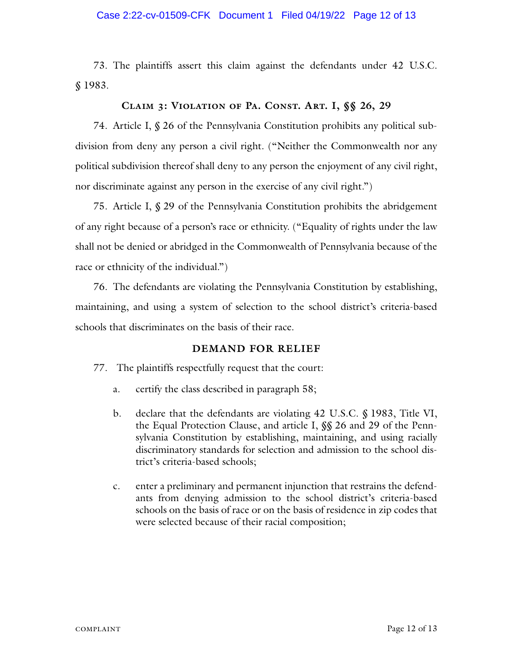#### Case 2:22-cv-01509-CFK Document 1 Filed 04/19/22 Page 12 of 13

73. The plaintiffs assert this claim against the defendants under 42 U.S.C. § 1983.

## **Claim 3: Violation of Pa. Const. Art. I, §§ 26, 29**

74. Article I, § 26 of the Pennsylvania Constitution prohibits any political subdivision from deny any person a civil right. ("Neither the Commonwealth nor any political subdivision thereof shall deny to any person the enjoyment of any civil right, nor discriminate against any person in the exercise of any civil right.")

75. Article I, § 29 of the Pennsylvania Constitution prohibits the abridgement of any right because of a person's race or ethnicity. ("Equality of rights under the law shall not be denied or abridged in the Commonwealth of Pennsylvania because of the race or ethnicity of the individual.")

76. The defendants are violating the Pennsylvania Constitution by establishing, maintaining, and using a system of selection to the school district's criteria-based schools that discriminates on the basis of their race.

## **DEMAND FOR RELIEF**

77. The plaintiffs respectfully request that the court:

- a. certify the class described in paragraph 58;
- b. declare that the defendants are violating 42 U.S.C. § 1983, Title VI, the Equal Protection Clause, and article I, §§ 26 and 29 of the Pennsylvania Constitution by establishing, maintaining, and using racially discriminatory standards for selection and admission to the school district's criteria-based schools;
- c. enter a preliminary and permanent injunction that restrains the defendants from denying admission to the school district's criteria-based schools on the basis of race or on the basis of residence in zip codes that were selected because of their racial composition;